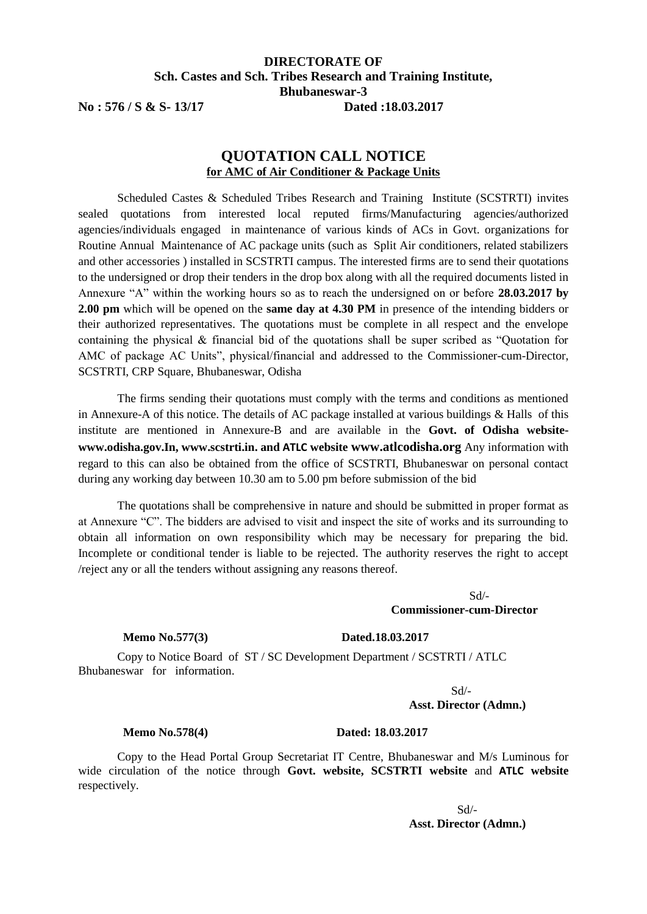# **DIRECTORATE OF Sch. Castes and Sch. Tribes Research and Training Institute, Bhubaneswar-3**

**No** : **576** */* **S** & **S**- **13/17** 

## **QUOTATION CALL NOTICE for AMC of Air Conditioner & Package Units**

Scheduled Castes & Scheduled Tribes Research and Training Institute (SCSTRTI) invites sealed quotations from interested local reputed firms/Manufacturing agencies/authorized agencies/individuals engaged in maintenance of various kinds of ACs in Govt. organizations for Routine Annual Maintenance of AC package units (such as Split Air conditioners, related stabilizers and other accessories ) installed in SCSTRTI campus. The interested firms are to send their quotations to the undersigned or drop their tenders in the drop box along with all the required documents listed in Annexure "A" within the working hours so as to reach the undersigned on or before **28.03.2017 by 2.00 pm** which will be opened on the **same day at 4.30 PM** in presence of the intending bidders or their authorized representatives. The quotations must be complete in all respect and the envelope containing the physical & financial bid of the quotations shall be super scribed as "Quotation for AMC of package AC Units", physical/financial and addressed to the Commissioner-cum-Director, SCSTRTI, CRP Square, Bhubaneswar, Odisha

The firms sending their quotations must comply with the terms and conditions as mentioned in Annexure-A of this notice. The details of AC package installed at various buildings & Halls of this institute are mentioned in Annexure-B and are available in the **Govt. of Odisha websitewww.odisha.gov.In, [www.scstrti.in.](http://www.scstrti.in/) and ATLC website [www.atlcodisha.org](http://www.atlcodisha.org/)** Any information with regard to this can also be obtained from the office of SCSTRTI, Bhubaneswar on personal contact during any working day between 10.30 am to 5.00 pm before submission of the bid

The quotations shall be comprehensive in nature and should be submitted in proper format as at Annexure "C". The bidders are advised to visit and inspect the site of works and its surrounding to obtain all information on own responsibility which may be necessary for preparing the bid. Incomplete or conditional tender is liable to be rejected. The authority reserves the right to accept /reject any or all the tenders without assigning any reasons thereof.

> Sd/- **Commissioner-cum-Director**

#### **Memo No.577(3)** Dated.18.03.2017

Copy to Notice Board of ST / SC Development Department / SCSTRTI / ATLC Bhubaneswar for information.

Sd/-

**Asst. Director (Admn.)**

#### **Memo No.578(4) Dated: 18.03.2017**

Copy to the Head Portal Group Secretariat IT Centre, Bhubaneswar and M/s Luminous for wide circulation of the notice through **Govt. website, SCSTRTI website** and **ATLC website** respectively.

> Sd/-  **Asst. Director (Admn.)**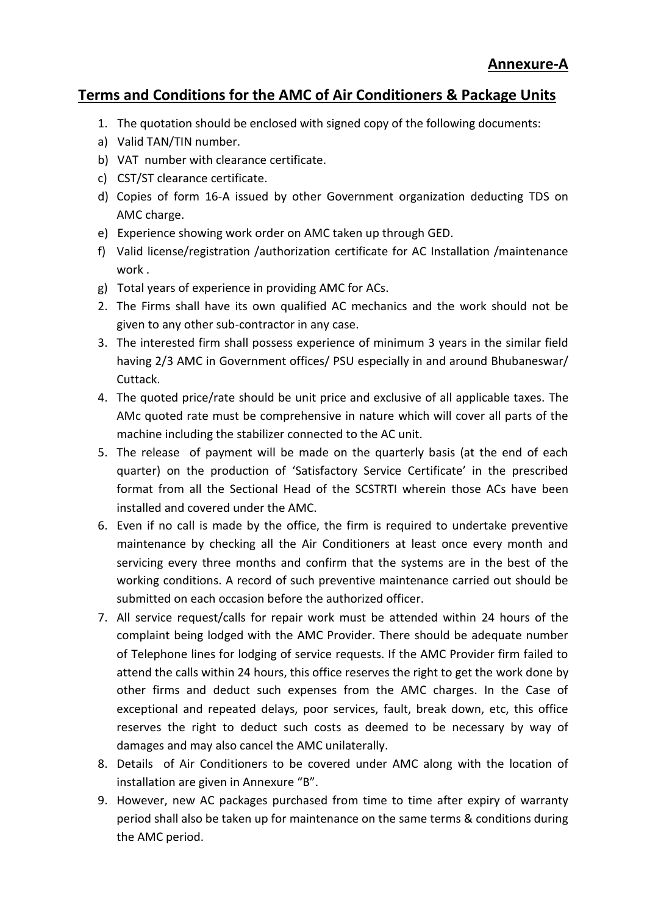# **Terms and Conditions for the AMC of Air Conditioners & Package Units**

- 1. The quotation should be enclosed with signed copy of the following documents:
- a) Valid TAN/TIN number.
- b) VAT number with clearance certificate.
- c) CST/ST clearance certificate.
- d) Copies of form 16-A issued by other Government organization deducting TDS on AMC charge.
- e) Experience showing work order on AMC taken up through GED.
- f) Valid license/registration /authorization certificate for AC Installation /maintenance work .
- g) Total years of experience in providing AMC for ACs.
- 2. The Firms shall have its own qualified AC mechanics and the work should not be given to any other sub-contractor in any case.
- 3. The interested firm shall possess experience of minimum 3 years in the similar field having 2/3 AMC in Government offices/ PSU especially in and around Bhubaneswar/ Cuttack.
- 4. The quoted price/rate should be unit price and exclusive of all applicable taxes. The AMc quoted rate must be comprehensive in nature which will cover all parts of the machine including the stabilizer connected to the AC unit.
- 5. The release of payment will be made on the quarterly basis (at the end of each quarter) on the production of 'Satisfactory Service Certificate' in the prescribed format from all the Sectional Head of the SCSTRTI wherein those ACs have been installed and covered under the AMC.
- 6. Even if no call is made by the office, the firm is required to undertake preventive maintenance by checking all the Air Conditioners at least once every month and servicing every three months and confirm that the systems are in the best of the working conditions. A record of such preventive maintenance carried out should be submitted on each occasion before the authorized officer.
- 7. All service request/calls for repair work must be attended within 24 hours of the complaint being lodged with the AMC Provider. There should be adequate number of Telephone lines for lodging of service requests. If the AMC Provider firm failed to attend the calls within 24 hours, this office reserves the right to get the work done by other firms and deduct such expenses from the AMC charges. In the Case of exceptional and repeated delays, poor services, fault, break down, etc, this office reserves the right to deduct such costs as deemed to be necessary by way of damages and may also cancel the AMC unilaterally.
- 8. Details of Air Conditioners to be covered under AMC along with the location of installation are given in Annexure "B".
- 9. However, new AC packages purchased from time to time after expiry of warranty period shall also be taken up for maintenance on the same terms & conditions during the AMC period.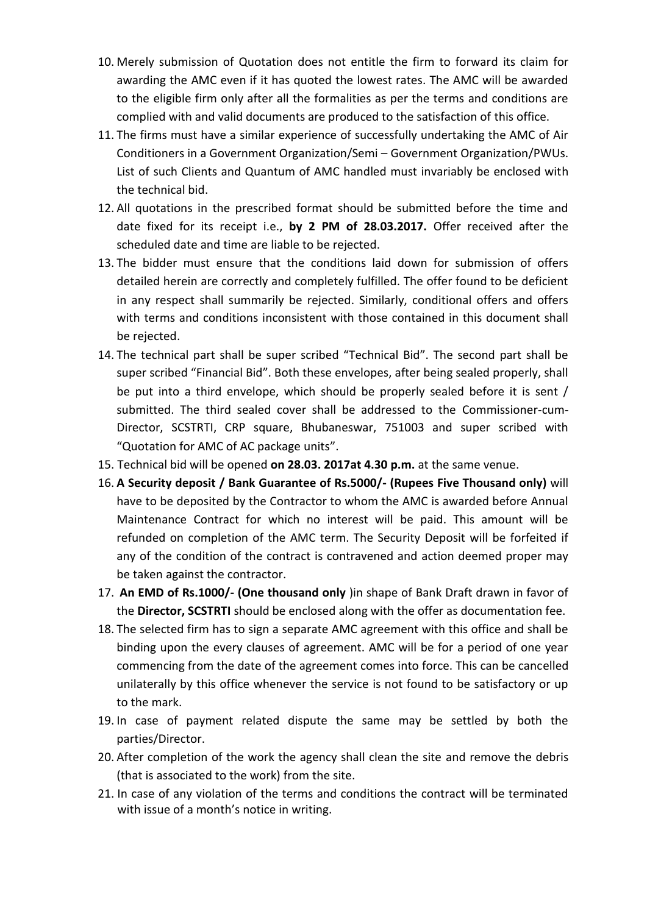- 10. Merely submission of Quotation does not entitle the firm to forward its claim for awarding the AMC even if it has quoted the lowest rates. The AMC will be awarded to the eligible firm only after all the formalities as per the terms and conditions are complied with and valid documents are produced to the satisfaction of this office.
- 11. The firms must have a similar experience of successfully undertaking the AMC of Air Conditioners in a Government Organization/Semi – Government Organization/PWUs. List of such Clients and Quantum of AMC handled must invariably be enclosed with the technical bid.
- 12. All quotations in the prescribed format should be submitted before the time and date fixed for its receipt i.e., **by 2 PM of 28.03.2017.** Offer received after the scheduled date and time are liable to be rejected.
- 13. The bidder must ensure that the conditions laid down for submission of offers detailed herein are correctly and completely fulfilled. The offer found to be deficient in any respect shall summarily be rejected. Similarly, conditional offers and offers with terms and conditions inconsistent with those contained in this document shall be rejected.
- 14. The technical part shall be super scribed "Technical Bid". The second part shall be super scribed "Financial Bid". Both these envelopes, after being sealed properly, shall be put into a third envelope, which should be properly sealed before it is sent / submitted. The third sealed cover shall be addressed to the Commissioner-cum-Director, SCSTRTI, CRP square, Bhubaneswar, 751003 and super scribed with "Quotation for AMC of AC package units".
- 15. Technical bid will be opened **on 28.03. 2017at 4.30 p.m.** at the same venue.
- 16. **A Security deposit / Bank Guarantee of Rs.5000/- (Rupees Five Thousand only)** will have to be deposited by the Contractor to whom the AMC is awarded before Annual Maintenance Contract for which no interest will be paid. This amount will be refunded on completion of the AMC term. The Security Deposit will be forfeited if any of the condition of the contract is contravened and action deemed proper may be taken against the contractor.
- 17. **An EMD of Rs.1000/- (One thousand only** )in shape of Bank Draft drawn in favor of the **Director, SCSTRTI** should be enclosed along with the offer as documentation fee.
- 18. The selected firm has to sign a separate AMC agreement with this office and shall be binding upon the every clauses of agreement. AMC will be for a period of one year commencing from the date of the agreement comes into force. This can be cancelled unilaterally by this office whenever the service is not found to be satisfactory or up to the mark.
- 19. In case of payment related dispute the same may be settled by both the parties/Director.
- 20. After completion of the work the agency shall clean the site and remove the debris (that is associated to the work) from the site.
- 21. In case of any violation of the terms and conditions the contract will be terminated with issue of a month's notice in writing.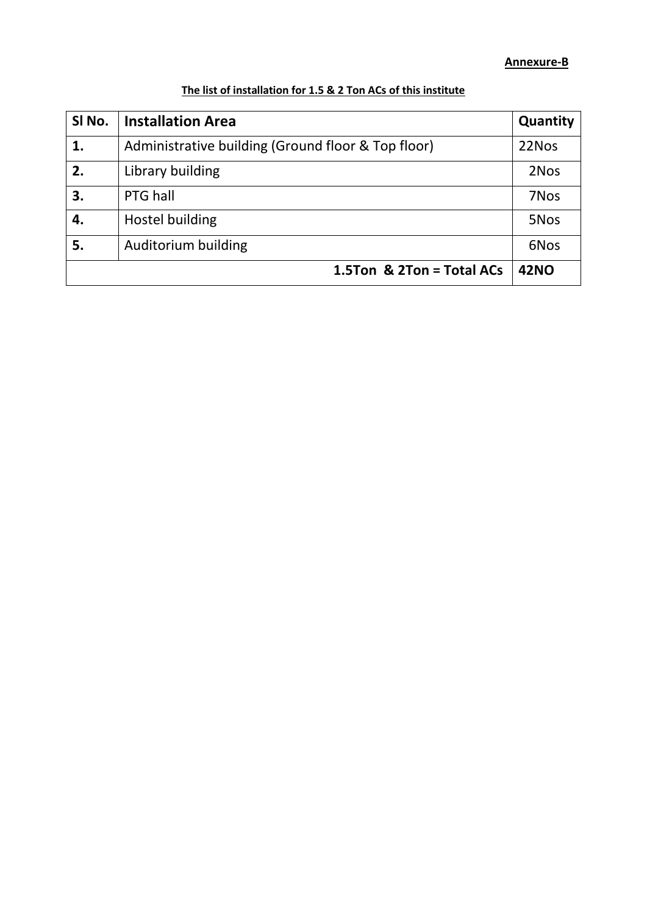# **Annexure-B**

| SI No. | <b>Installation Area</b>                           | Quantity    |
|--------|----------------------------------------------------|-------------|
| 1.     | Administrative building (Ground floor & Top floor) | 22Nos       |
| 2.     | Library building                                   | 2Nos        |
| 3.     | PTG hall                                           | 7Nos        |
| 4.     | Hostel building                                    | 5Nos        |
| 5.     | Auditorium building                                | 6Nos        |
|        | 1.5Ton & 2Ton = Total ACs                          | <b>42NO</b> |

# **The list of installation for 1.5 & 2 Ton ACs of this institute**